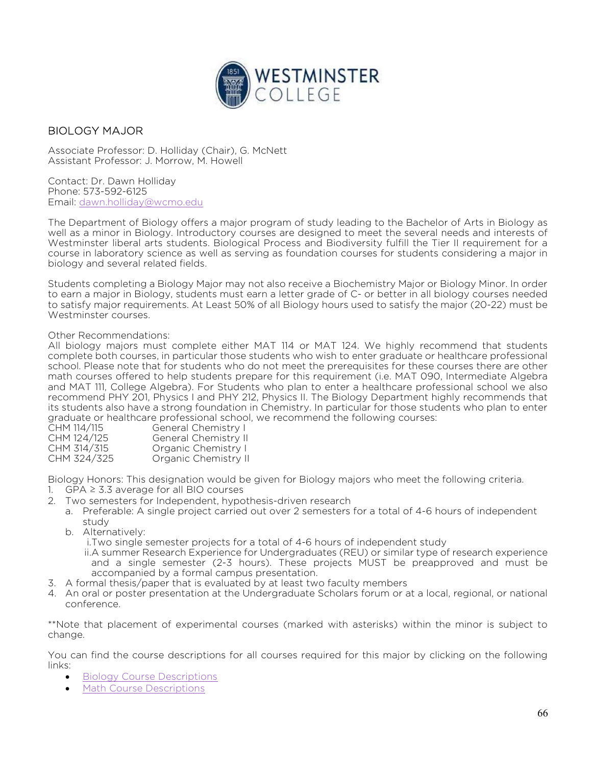

### BIOLOGY MAJOR

Associate Professor: D. Holliday (Chair), G. McNett Assistant Professor: J. Morrow, M. Howell

Contact: Dr. Dawn Holliday Phone: 573-592-6125 Email: dawn.holliday@wcmo.edu

The Department of Biology offers a major program of study leading to the Bachelor of Arts in Biology as well as a minor in Biology. Introductory courses are designed to meet the several needs and interests of Westminster liberal arts students. Biological Process and Biodiversity fulfill the Tier II requirement for a course in laboratory science as well as serving as foundation courses for students considering a major in biology and several related fields.

Students completing a Biology Major may not also receive a Biochemistry Major or Biology Minor. In order to earn a major in Biology, students must earn a letter grade of C- or better in all biology courses needed to satisfy major requirements. At Least 50% of all Biology hours used to satisfy the major (20-22) must be Westminster courses.

#### Other Recommendations:

All biology majors must complete either MAT 114 or MAT 124. We highly recommend that students complete both courses, in particular those students who wish to enter graduate or healthcare professional school. Please note that for students who do not meet the prerequisites for these courses there are other math courses offered to help students prepare for this requirement (i.e. MAT 090, Intermediate Algebra and MAT 111, College Algebra). For Students who plan to enter a healthcare professional school we also recommend PHY 201, Physics I and PHY 212, Physics II. The Biology Department highly recommends that its students also have a strong foundation in Chemistry. In particular for those students who plan to enter graduate or healthcare professional school, we recommend the following courses:

| CHM 114/115 | General Chemistry I  |
|-------------|----------------------|
| CHM 124/125 | General Chemistry II |
| CHM 314/315 | Organic Chemistry I  |
| CHM 324/325 | Organic Chemistry II |

Biology Honors: This designation would be given for Biology majors who meet the following criteria.

- 1. GPA  $\geq$  3.3 average for all BIO courses
- 2. Two semesters for Independent, hypothesis-driven research
	- a. Preferable: A single project carried out over 2 semesters for a total of 4-6 hours of independent study
	- b. Alternatively:

i.Two single semester projects for a total of 4-6 hours of independent study

- ii.A summer Research Experience for Undergraduates (REU) or similar type of research experience and a single semester (2-3 hours). These projects MUST be preapproved and must be accompanied by a formal campus presentation.
- 3. A formal thesis/paper that is evaluated by at least two faculty members
- 4. An oral or poster presentation at the Undergraduate Scholars forum or at a local, regional, or national conference.

\*\*Note that placement of experimental courses (marked with asterisks) within the minor is subject to change.

You can find the course descriptions for all courses required for this major by clicking on the following links:

- **•** Biology Course Descriptions
- Math Course Descriptions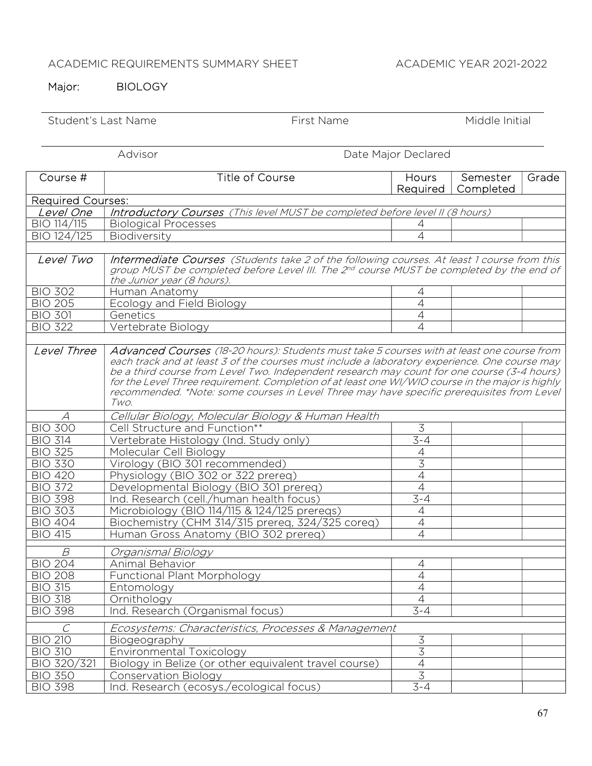# ACADEMIC REQUIREMENTS SUMMARY SHEET ACADEMIC YEAR 2021-2022

# Major: BIOLOGY

| Student's Last Name      | First Name                                                                                                                                                                                                                                                                                                                                                                                             | Middle Initial           |                       |       |
|--------------------------|--------------------------------------------------------------------------------------------------------------------------------------------------------------------------------------------------------------------------------------------------------------------------------------------------------------------------------------------------------------------------------------------------------|--------------------------|-----------------------|-------|
|                          | Advisor                                                                                                                                                                                                                                                                                                                                                                                                | Date Major Declared      |                       |       |
| Course #                 | <b>Title of Course</b>                                                                                                                                                                                                                                                                                                                                                                                 | Hours<br>Required        | Semester<br>Completed | Grade |
| <b>Required Courses:</b> |                                                                                                                                                                                                                                                                                                                                                                                                        |                          |                       |       |
| Level One                | Introductory Courses (This level MUST be completed before level II (8 hours)                                                                                                                                                                                                                                                                                                                           |                          |                       |       |
| BIO 114/115              | <b>Biological Processes</b>                                                                                                                                                                                                                                                                                                                                                                            | 4                        |                       |       |
| BIO 124/125              | Biodiversity                                                                                                                                                                                                                                                                                                                                                                                           | 4                        |                       |       |
| Level Two                | Intermediate Courses (Students take 2 of the following courses. At least 1 course from this<br>group MUST be completed before Level III. The 2 <sup>nd</sup> course MUST be completed by the end of<br>the Junior year (8 hours).                                                                                                                                                                      |                          |                       |       |
| <b>BIO 302</b>           | Human Anatomy                                                                                                                                                                                                                                                                                                                                                                                          | 4                        |                       |       |
| <b>BIO 205</b>           | Ecology and Field Biology                                                                                                                                                                                                                                                                                                                                                                              | $\overline{\mathcal{A}}$ |                       |       |
| <b>BIO 301</b>           | Genetics                                                                                                                                                                                                                                                                                                                                                                                               | $\overline{4}$           |                       |       |
| <b>BIO 322</b>           | Vertebrate Biology                                                                                                                                                                                                                                                                                                                                                                                     | $\overline{4}$           |                       |       |
|                          | each track and at least 3 of the courses must include a laboratory experience. One course may<br>be a third course from Level Two. Independent research may count for one course (3-4 hours)<br>for the Level Three requirement. Completion of at least one WI/WIO course in the major is highly<br>recommended. *Note: some courses in Level Three may have specific prerequisites from Level<br>Two. |                          |                       |       |
|                          | Cellular Biology, Molecular Biology & Human Health                                                                                                                                                                                                                                                                                                                                                     |                          |                       |       |
| <b>BIO 300</b>           | Cell Structure and Function**                                                                                                                                                                                                                                                                                                                                                                          | 3                        |                       |       |
| <b>BIO 314</b>           | Vertebrate Histology (Ind. Study only)                                                                                                                                                                                                                                                                                                                                                                 | $3 - 4$                  |                       |       |
| <b>BIO 325</b>           | Molecular Cell Biology                                                                                                                                                                                                                                                                                                                                                                                 | $\overline{4}$           |                       |       |
| <b>BIO 330</b>           | Virology (BIO 301 recommended)                                                                                                                                                                                                                                                                                                                                                                         | $\overline{3}$           |                       |       |
| <b>BIO 420</b>           | Physiology (BIO 302 or 322 prereq)                                                                                                                                                                                                                                                                                                                                                                     | $\overline{4}$           |                       |       |
| <b>BIO 372</b>           | Developmental Biology (BIO 301 prereq)                                                                                                                                                                                                                                                                                                                                                                 | $\overline{4}$           |                       |       |
| <b>BIO 398</b>           | Ind. Research (cell./human health focus)                                                                                                                                                                                                                                                                                                                                                               | $3 - 4$                  |                       |       |
| <b>BIO 303</b>           | Microbiology (BIO 114/115 & 124/125 prereqs)                                                                                                                                                                                                                                                                                                                                                           | 4                        |                       |       |
| <b>BIO 404</b>           | Biochemistry (CHM 314/315 prereg, 324/325 coreg)                                                                                                                                                                                                                                                                                                                                                       | $\overline{4}$           |                       |       |
| <b>BIO 415</b>           | Human Gross Anatomy (BIO 302 prereq)                                                                                                                                                                                                                                                                                                                                                                   | 4                        |                       |       |
| $\mathcal B$             | Organismal Biology                                                                                                                                                                                                                                                                                                                                                                                     |                          |                       |       |
| <b>BIO 204</b>           | Animal Behavior                                                                                                                                                                                                                                                                                                                                                                                        | 4                        |                       |       |
| <b>BIO 208</b>           | <b>Functional Plant Morphology</b>                                                                                                                                                                                                                                                                                                                                                                     | $\overline{4}$           |                       |       |
| <b>BIO 315</b>           | Entomology                                                                                                                                                                                                                                                                                                                                                                                             | $\overline{4}$           |                       |       |
| <b>BIO 318</b>           | Ornithology                                                                                                                                                                                                                                                                                                                                                                                            | $\overline{4}$           |                       |       |
| <b>BIO 398</b>           | Ind. Research (Organismal focus)                                                                                                                                                                                                                                                                                                                                                                       | $3 - 4$                  |                       |       |
| C                        | Ecosystems: Characteristics, Processes & Management                                                                                                                                                                                                                                                                                                                                                    |                          |                       |       |
| <b>BIO 210</b>           | Biogeography                                                                                                                                                                                                                                                                                                                                                                                           | $\overline{3}$           |                       |       |
| <b>BIO 310</b>           | Environmental Toxicology                                                                                                                                                                                                                                                                                                                                                                               | $\overline{3}$           |                       |       |
| BIO 320/321              | Biology in Belize (or other equivalent travel course)                                                                                                                                                                                                                                                                                                                                                  | $\overline{4}$           |                       |       |
| <b>BIO 350</b>           | Conservation Biology                                                                                                                                                                                                                                                                                                                                                                                   | $\overline{3}$           |                       |       |
| <b>BIO 398</b>           | Ind. Research (ecosys./ecological focus)                                                                                                                                                                                                                                                                                                                                                               | $3 - 4$                  |                       |       |